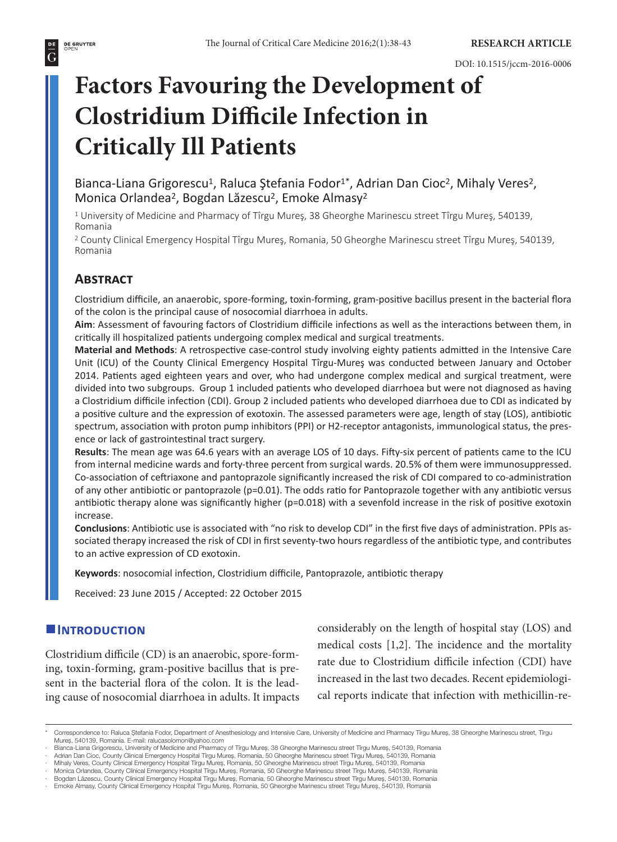#### **DE GRUYTER**<br>OPEN  $\overline{G}$

# **Factors Favouring the Development of Clostridium Difficile Infection in Critically Ill Patients**

Bianca-Liana Grigorescu<sup>1</sup>, Raluca Ștefania Fodor<sup>1\*</sup>, Adrian Dan Cioc<sup>2</sup>, Mihaly Veres<sup>2</sup>, Monica Orlandea<sup>2</sup>, Bogdan Lăzescu<sup>2</sup>, Emoke Almasy<sup>2</sup>

<sup>1</sup> University of Medicine and Pharmacy of Tîrgu Mureş, 38 Gheorghe Marinescu street Tîrgu Mureş, 540139, Romania

<sup>2</sup> County Clinical Emergency Hospital Tîrgu Mureş, Romania, 50 Gheorghe Marinescu street Tîrgu Mureş, 540139, Romania

# **Abstract**

Clostridium difficile, an anaerobic, spore-forming, toxin-forming, gram-positive bacillus present in the bacterial flora of the colon is the principal cause of nosocomial diarrhoea in adults.

**Aim**: Assessment of favouring factors of Clostridium difficile infections as well as the interactions between them, in critically ill hospitalized patients undergoing complex medical and surgical treatments.

**Material and Methods**: A retrospective case-control study involving eighty patients admitted in the Intensive Care Unit (ICU) of the County Clinical Emergency Hospital Tîrgu-Mureş was conducted between January and October 2014. Patients aged eighteen years and over, who had undergone complex medical and surgical treatment, were divided into two subgroups. Group 1 included patients who developed diarrhoea but were not diagnosed as having a Clostridium difficile infection (CDI). Group 2 included patients who developed diarrhoea due to CDI as indicated by a positive culture and the expression of exotoxin. The assessed parameters were age, length of stay (LOS), antibiotic spectrum, association with proton pump inhibitors (PPI) or H2-receptor antagonists, immunological status, the presence or lack of gastrointestinal tract surgery.

**Results**: The mean age was 64.6 years with an average LOS of 10 days. Fifty-six percent of patients came to the ICU from internal medicine wards and forty-three percent from surgical wards. 20.5% of them were immunosuppressed. Co-association of ceftriaxone and pantoprazole significantly increased the risk of CDI compared to co-administration of any other antibiotic or pantoprazole (p=0.01). The odds ratio for Pantoprazole together with any antibiotic versus antibiotic therapy alone was significantly higher (p=0.018) with a sevenfold increase in the risk of positive exotoxin increase.

**Conclusions**: Antibiotic use is associated with "no risk to develop CDI" in the first five days of administration. PPIs associated therapy increased the risk of CDI in first seventy-two hours regardless of the antibiotic type, and contributes to an active expression of CD exotoxin.

**Keywords**: nosocomial infection, Clostridium difficile, Pantoprazole, antibiotic therapy

Received: 23 June 2015 / Accepted: 22 October 2015

# **Introduction**

Clostridium difficile (CD) is an anaerobic, spore-forming, toxin-forming, gram-positive bacillus that is present in the bacterial flora of the colon. It is the leading cause of nosocomial diarrhoea in adults. It impacts considerably on the length of hospital stay (LOS) and medical costs [1,2]. The incidence and the mortality rate due to Clostridium difficile infection (CDI) have increased in the last two decades. Recent epidemiological reports indicate that infection with methicillin-re-

<sup>\*</sup> Correspondence to: Raluca Ştefania Fodor, Department of Anesthesiology and Intensive Care, University of Medicine and Pharmacy Tîrgu Mureş, 38 Gheorghe Marinescu street, Tîrgu Mureş, 540139, Romania. E-mail: ralucasolomon@yahoo.com

<sup>·</sup> Bianca-Liana Grigorescu, University of Medicine and Pharmacy of Tirgu Mureș, 38 Gheorghe Marinescu street Tirgu Mureș, 540139, Romania<br>· Adrian Dan Cioc, County Clinical Emergency Hospital Tirgu Mureș, Romania, 50 Gheorg

<sup>·</sup> Mihaly Veres, County Clinical Emergency Hospital Tîrgu Mureş, Romania, 50 Gheorghe Marinescu street Tîrgu Mureş, 540139, Romania

<sup>·</sup> Monica Orlandea, County Clinical Emergency Hospital Tîrgu Mureş, Romania, 50 Gheorghe Marinescu street Tîrgu Mureş, 540139, Romania<br>· Bogdan Lăzescu, County Clinical Emergency Hospital Tîrgu Mureş, Romania, 50 Gheorghe M

<sup>·</sup> Emoke Almasy, County Clinical Emergency Hospital Tîrgu Mureş, Romania, 50 Gheorghe Marinescu street Tîrgu Mureş, 540139, Romania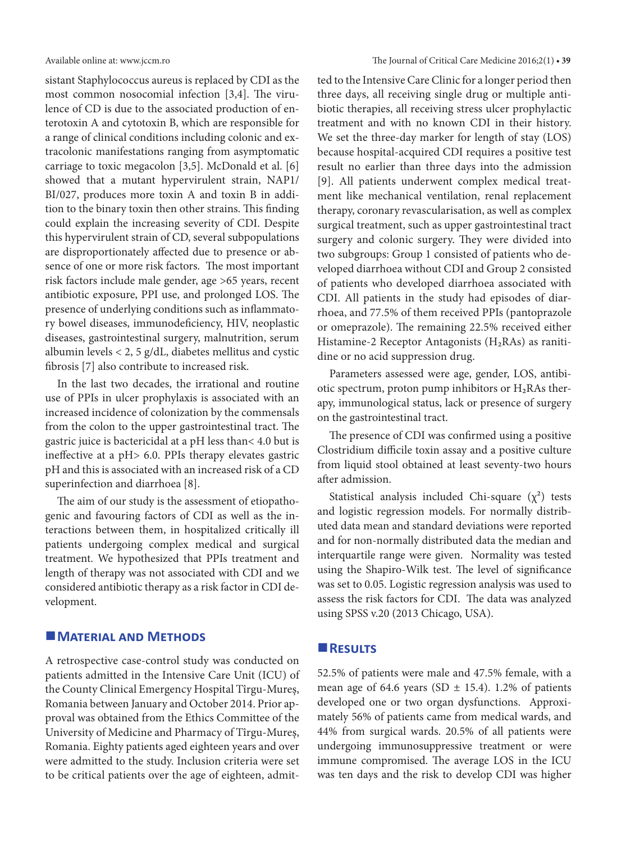sistant Staphylococcus aureus is replaced by CDI as the most common nosocomial infection [3,4]. The virulence of CD is due to the associated production of enterotoxin A and cytotoxin B, which are responsible for a range of clinical conditions including colonic and extracolonic manifestations ranging from asymptomatic carriage to toxic megacolon [3,5]. McDonald et al. [6] showed that a mutant hypervirulent strain, NAP1/ BI/027, produces more toxin A and toxin B in addition to the binary toxin then other strains. This finding could explain the increasing severity of CDI. Despite this hypervirulent strain of CD, several subpopulations are disproportionately affected due to presence or absence of one or more risk factors. The most important risk factors include male gender, age >65 years, recent antibiotic exposure, PPI use, and prolonged LOS. The presence of underlying conditions such as inflammatory bowel diseases, immunodeficiency, HIV, neoplastic diseases, gastrointestinal surgery, malnutrition, serum albumin levels < 2, 5 g/dL, diabetes mellitus and cystic fibrosis [7] also contribute to increased risk.

In the last two decades, the irrational and routine use of PPIs in ulcer prophylaxis is associated with an increased incidence of colonization by the commensals from the colon to the upper gastrointestinal tract. The gastric juice is bactericidal at a pH less than< 4.0 but is ineffective at a pH> 6.0. PPIs therapy elevates gastric pH and this is associated with an increased risk of a CD superinfection and diarrhoea [8].

The aim of our study is the assessment of etiopathogenic and favouring factors of CDI as well as the interactions between them, in hospitalized critically ill patients undergoing complex medical and surgical treatment. We hypothesized that PPIs treatment and length of therapy was not associated with CDI and we considered antibiotic therapy as a risk factor in CDI development.

#### **MATERIAL AND METHODS**

A retrospective case-control study was conducted on patients admitted in the Intensive Care Unit (ICU) of the County Clinical Emergency Hospital Tîrgu-Mureş, Romania between January and October 2014. Prior approval was obtained from the Ethics Committee of the University of Medicine and Pharmacy of Tîrgu-Mureş, Romania. Eighty patients aged eighteen years and over were admitted to the study. Inclusion criteria were set to be critical patients over the age of eighteen, admitted to the Intensive Care Clinic for a longer period then three days, all receiving single drug or multiple antibiotic therapies, all receiving stress ulcer prophylactic treatment and with no known CDI in their history. We set the three-day marker for length of stay (LOS) because hospital-acquired CDI requires a positive test result no earlier than three days into the admission [9]. All patients underwent complex medical treatment like mechanical ventilation, renal replacement therapy, coronary revascularisation, as well as complex surgical treatment, such as upper gastrointestinal tract surgery and colonic surgery. They were divided into two subgroups: Group 1 consisted of patients who developed diarrhoea without CDI and Group 2 consisted of patients who developed diarrhoea associated with CDI. All patients in the study had episodes of diarrhoea, and 77.5% of them received PPIs (pantoprazole or omeprazole). The remaining 22.5% received either Histamine-2 Receptor Antagonists  $(H_2RAs)$  as ranitidine or no acid suppression drug.

Parameters assessed were age, gender, LOS, antibiotic spectrum, proton pump inhibitors or  $H_2RAs$  therapy, immunological status, lack or presence of surgery on the gastrointestinal tract.

The presence of CDI was confirmed using a positive Clostridium difficile toxin assay and a positive culture from liquid stool obtained at least seventy-two hours after admission.

Statistical analysis included Chi-square  $(\chi^2)$  tests and logistic regression models. For normally distributed data mean and standard deviations were reported and for non-normally distributed data the median and interquartile range were given. Normality was tested using the Shapiro-Wilk test. The level of significance was set to 0.05. Logistic regression analysis was used to assess the risk factors for CDI. The data was analyzed using SPSS v.20 (2013 Chicago, USA).

#### **Results**

52.5% of patients were male and 47.5% female, with a mean age of 64.6 years (SD  $\pm$  15.4). 1.2% of patients developed one or two organ dysfunctions. Approximately 56% of patients came from medical wards, and 44% from surgical wards. 20.5% of all patients were undergoing immunosuppressive treatment or were immune compromised. The average LOS in the ICU was ten days and the risk to develop CDI was higher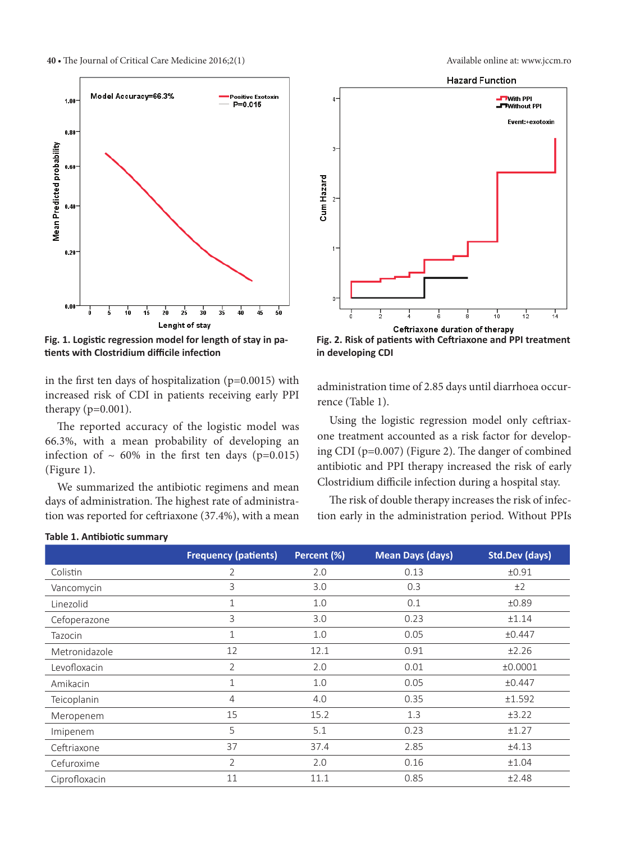

**Fig. 1. Logistic regression model for length of stay in patients with Clostridium difficile infection**

in the first ten days of hospitalization (p=0.0015) with increased risk of CDI in patients receiving early PPI therapy  $(p=0.001)$ .

The reported accuracy of the logistic model was 66.3%, with a mean probability of developing an infection of  $\sim 60\%$  in the first ten days (p=0.015) (Figure 1).

We summarized the antibiotic regimens and mean days of administration. The highest rate of administration was reported for ceftriaxone (37.4%), with a mean



**Fig. 2. Risk of patients with Ceftriaxone and PPI treatment in developing CDI**

administration time of 2.85 days until diarrhoea occurrence (Table 1).

Using the logistic regression model only ceftriaxone treatment accounted as a risk factor for developing CDI (p=0.007) (Figure 2). The danger of combined antibiotic and PPI therapy increased the risk of early Clostridium difficile infection during a hospital stay.

The risk of double therapy increases the risk of infection early in the administration period. Without PPIs

|               | <b>Frequency (patients)</b> | Percent (%) | <b>Mean Days (days)</b> | <b>Std.Dev (days)</b> |
|---------------|-----------------------------|-------------|-------------------------|-----------------------|
| Colistin      | $\overline{2}$              | 2.0         | 0.13                    | ±0.91                 |
| Vancomycin    | 3                           | 3.0         | 0.3                     | ±2                    |
| Linezolid     | $\mathbf 1$                 | 1.0         | 0.1                     | ±0.89                 |
| Cefoperazone  | 3                           | 3.0         | 0.23                    | ±1.14                 |
| Tazocin       | $\mathbf 1$                 | 1.0         | 0.05                    | ±0.447                |
| Metronidazole | 12                          | 12.1        | 0.91                    | ±2.26                 |
| Levofloxacin  | 2                           | 2.0         | 0.01                    | ±0.0001               |
| Amikacin      | $\mathbf{1}$                | 1.0         | 0.05                    | ±0.447                |
| Teicoplanin   | $\overline{4}$              | 4.0         | 0.35                    | ±1.592                |
| Meropenem     | 15                          | 15.2        | 1.3                     | ±3.22                 |
| Imipenem      | 5                           | 5.1         | 0.23                    | ±1.27                 |
| Ceftriaxone   | 37                          | 37.4        | 2.85                    | ±4.13                 |
| Cefuroxime    | $\overline{2}$              | 2.0         | 0.16                    | ±1.04                 |
| Ciprofloxacin | 11                          | 11.1        | 0.85                    | ±2.48                 |

#### **Table 1. Antibiotic summary**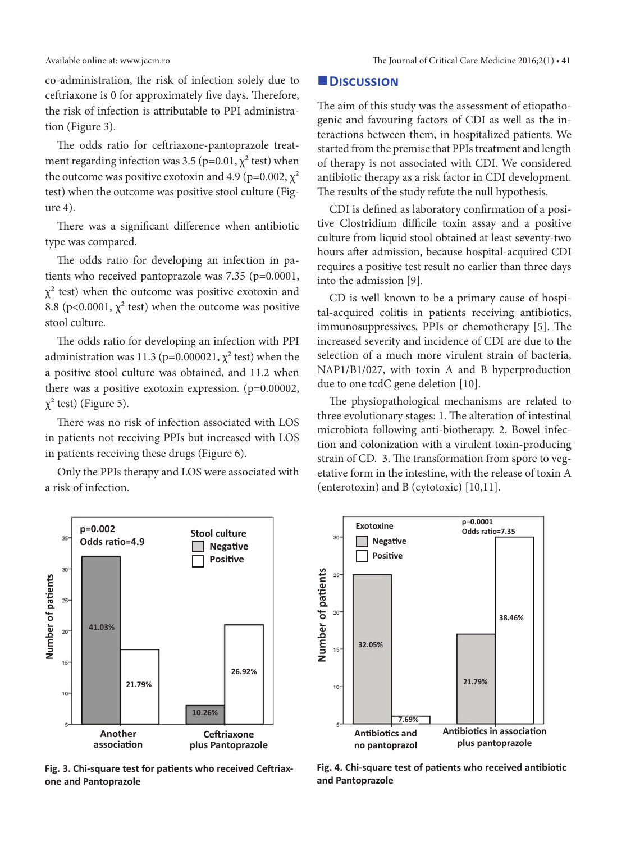co-administration, the risk of infection solely due to ceftriaxone is 0 for approximately five days. Therefore, the risk of infection is attributable to PPI administration (Figure 3).

The odds ratio for ceftriaxone-pantoprazole treatment regarding infection was 3.5 ( $p=0.01$ ,  $\chi^2$  test) when the outcome was positive exotoxin and 4.9 (p=0.002,  $\chi^2$ ) test) when the outcome was positive stool culture (Figure 4).

There was a significant difference when antibiotic type was compared.

The odds ratio for developing an infection in patients who received pantoprazole was 7.35 (p=0.0001,  $\chi^2$  test) when the outcome was positive exotoxin and 8.8 (p<0.0001,  $\chi^2$  test) when the outcome was positive stool culture.

The odds ratio for developing an infection with PPI administration was 11.3 ( $p=0.000021$ ,  $\chi^2$  test) when the a positive stool culture was obtained, and 11.2 when there was a positive exotoxin expression. (p=0.00002,  $\chi^2$  test) (Figure 5).

There was no risk of infection associated with LOS in patients not receiving PPIs but increased with LOS in patients receiving these drugs (Figure 6).

Only the PPIs therapy and LOS were associated with a risk of infection.

### **Discussion**

The aim of this study was the assessment of etiopathogenic and favouring factors of CDI as well as the interactions between them, in hospitalized patients. We started from the premise that PPIs treatment and length of therapy is not associated with CDI. We considered antibiotic therapy as a risk factor in CDI development. The results of the study refute the null hypothesis.

CDI is defined as laboratory confirmation of a positive Clostridium difficile toxin assay and a positive culture from liquid stool obtained at least seventy-two hours after admission, because hospital-acquired CDI requires a positive test result no earlier than three days into the admission [9].

CD is well known to be a primary cause of hospital-acquired colitis in patients receiving antibiotics, immunosuppressives, PPIs or chemotherapy [5]. The increased severity and incidence of CDI are due to the selection of a much more virulent strain of bacteria, NAP1/B1/027, with toxin A and B hyperproduction due to one tcdC gene deletion [10].

The physiopathological mechanisms are related to three evolutionary stages: 1. The alteration of intestinal microbiota following anti-biotherapy. 2. Bowel infection and colonization with a virulent toxin-producing strain of CD. 3. The transformation from spore to vegetative form in the intestine, with the release of toxin A (enterotoxin) and B (cytotoxic) [10,11].



**Fig. 3. Chi-square test for patients who received Ceftriaxone and Pantoprazole** 



**Fig. 4. Chi-square test of patients who received antibiotic and Pantoprazole**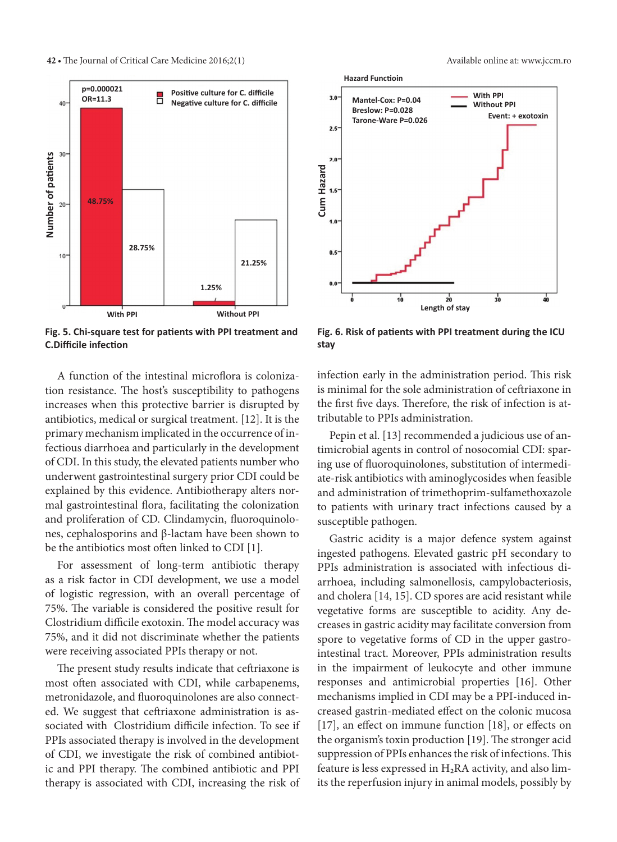

**Fig. 5. Chi-square test for patients with PPI treatment and C.Difficile infection**

A function of the intestinal microflora is colonization resistance. The host's susceptibility to pathogens increases when this protective barrier is disrupted by antibiotics, medical or surgical treatment. [12]. It is the primary mechanism implicated in the occurrence of infectious diarrhoea and particularly in the development of CDI. In this study, the elevated patients number who underwent gastrointestinal surgery prior CDI could be explained by this evidence. Antibiotherapy alters normal gastrointestinal flora, facilitating the colonization and proliferation of CD. Clindamycin, fluoroquinolones, cephalosporins and β-lactam have been shown to be the antibiotics most often linked to CDI [1].

For assessment of long-term antibiotic therapy as a risk factor in CDI development, we use a model of logistic regression, with an overall percentage of 75%. The variable is considered the positive result for Clostridium difficile exotoxin. The model accuracy was 75%, and it did not discriminate whether the patients were receiving associated PPIs therapy or not.

The present study results indicate that ceftriaxone is most often associated with CDI, while carbapenems, metronidazole, and fluoroquinolones are also connected. We suggest that ceftriaxone administration is associated with Clostridium difficile infection. To see if PPIs associated therapy is involved in the development of CDI, we investigate the risk of combined antibiotic and PPI therapy. The combined antibiotic and PPI therapy is associated with CDI, increasing the risk of



**Fig. 6. Risk of patients with PPI treatment during the ICU stay**

infection early in the administration period. This risk is minimal for the sole administration of ceftriaxone in the first five days. Therefore, the risk of infection is attributable to PPIs administration.

Pepin et al. [13] recommended a judicious use of antimicrobial agents in control of nosocomial CDI: sparing use of fluoroquinolones, substitution of intermediate-risk antibiotics with aminoglycosides when feasible and administration of trimethoprim-sulfamethoxazole to patients with urinary tract infections caused by a susceptible pathogen.

Gastric acidity is a major defence system against ingested pathogens. Elevated gastric pH secondary to PPIs administration is associated with infectious diarrhoea, including salmonellosis, campylobacteriosis, and cholera [14, 15]. CD spores are acid resistant while vegetative forms are susceptible to acidity. Any decreases in gastric acidity may facilitate conversion from spore to vegetative forms of CD in the upper gastrointestinal tract. Moreover, PPIs administration results in the impairment of leukocyte and other immune responses and antimicrobial properties [16]. Other mechanisms implied in CDI may be a PPI-induced increased gastrin-mediated effect on the colonic mucosa [17], an effect on immune function [18], or effects on the organism's toxin production [19]. The stronger acid suppression of PPIs enhances the risk of infections. This feature is less expressed in  $H_2RA$  activity, and also limits the reperfusion injury in animal models, possibly by